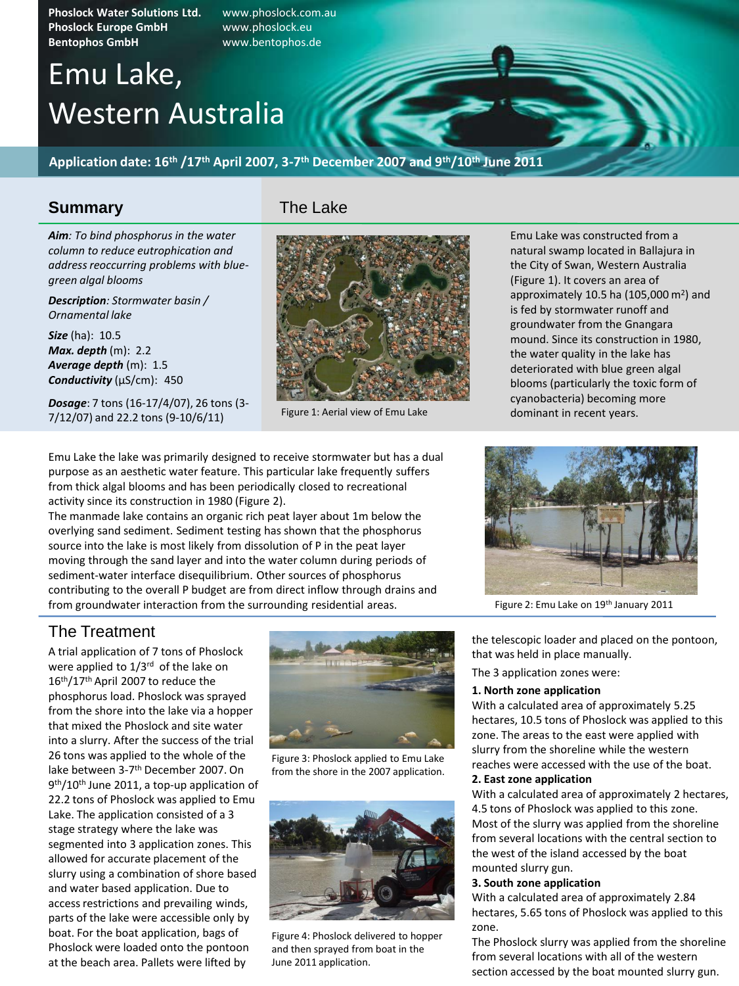**Phoslock Water Solutions Ltd.** www.phoslock.com.au **Phoslock Europe GmbH** www.phoslock.eu **Bentophos GmbH** www.bentophos.de

# Emu Lake, Western Australia

**Application date: 16th /17th April 2007, 3-7 th December 2007 and 9th/10th June 2011**

## **Summary**

*Aim: To bind phosphorus in the water column to reduce eutrophication and address reoccurring problems with bluegreen algal blooms*

*Description: Stormwater basin / Ornamental lake*

*Size* (ha): 10.5 *Max. depth* (m): 2.2 *Average depth* (m): 1.5 *Conductivity* (µS/cm): 450

*Dosage*: 7 tons (16-17/4/07), 26 tons (3- 7/12/07) and 22.2 tons (9-10/6/11)

## The Lake



Figure 1: Aerial view of Emu Lake

Emu Lake was constructed from a natural swamp located in Ballajura in the City of Swan, Western Australia (Figure 1). It covers an area of approximately 10.5 ha (105,000 $\,$ m<sup>2</sup>) and is fed by stormwater runoff and groundwater from the Gnangara mound. Since its construction in 1980, the water quality in the lake has deteriorated with blue green algal blooms (particularly the toxic form of cyanobacteria) becoming more dominant in recent years.

Emu Lake the lake was primarily designed to receive stormwater but has a dual purpose as an aesthetic water feature. This particular lake frequently suffers from thick algal blooms and has been periodically closed to recreational activity since its construction in 1980 (Figure 2).

The manmade lake contains an organic rich peat layer about 1m below the overlying sand sediment. Sediment testing has shown that the phosphorus source into the lake is most likely from dissolution of P in the peat layer moving through the sand layer and into the water column during periods of sediment-water interface disequilibrium. Other sources of phosphorus contributing to the overall P budget are from direct inflow through drains and from groundwater interaction from the surrounding residential areas. Figure 2: Emu Lake on 19<sup>th</sup> January 2011



## The Treatment

A trial application of 7 tons of Phoslock were applied to 1/3rd of the lake on 16<sup>th</sup>/17<sup>th</sup> April 2007 to reduce the phosphorus load. Phoslock was sprayed from the shore into the lake via a hopper that mixed the Phoslock and site water into a slurry. After the success of the trial 26 tons was applied to the whole of the lake between 3-7<sup>th</sup> December 2007. On 9<sup>th</sup>/10<sup>th</sup> June 2011, a top-up application of 22.2 tons of Phoslock was applied to Emu Lake. The application consisted of a 3 stage strategy where the lake was segmented into 3 application zones. This allowed for accurate placement of the slurry using a combination of shore based and water based application. Due to access restrictions and prevailing winds, parts of the lake were accessible only by boat. For the boat application, bags of Phoslock were loaded onto the pontoon at the beach area. Pallets were lifted by



Figure 3: Phoslock applied to Emu Lake from the shore in the 2007 application.



Figure 4: Phoslock delivered to hopper and then sprayed from boat in the June 2011 application.

the telescopic loader and placed on the pontoon, that was held in place manually.

The 3 application zones were:

#### **1. North zone application**

With a calculated area of approximately 5.25 hectares, 10.5 tons of Phoslock was applied to this zone. The areas to the east were applied with slurry from the shoreline while the western reaches were accessed with the use of the boat.

#### **2. East zone application**

With a calculated area of approximately 2 hectares, 4.5 tons of Phoslock was applied to this zone. Most of the slurry was applied from the shoreline from several locations with the central section to the west of the island accessed by the boat mounted slurry gun.

#### **3. South zone application**

With a calculated area of approximately 2.84 hectares, 5.65 tons of Phoslock was applied to this zone.

The Phoslock slurry was applied from the shoreline from several locations with all of the western section accessed by the boat mounted slurry gun.